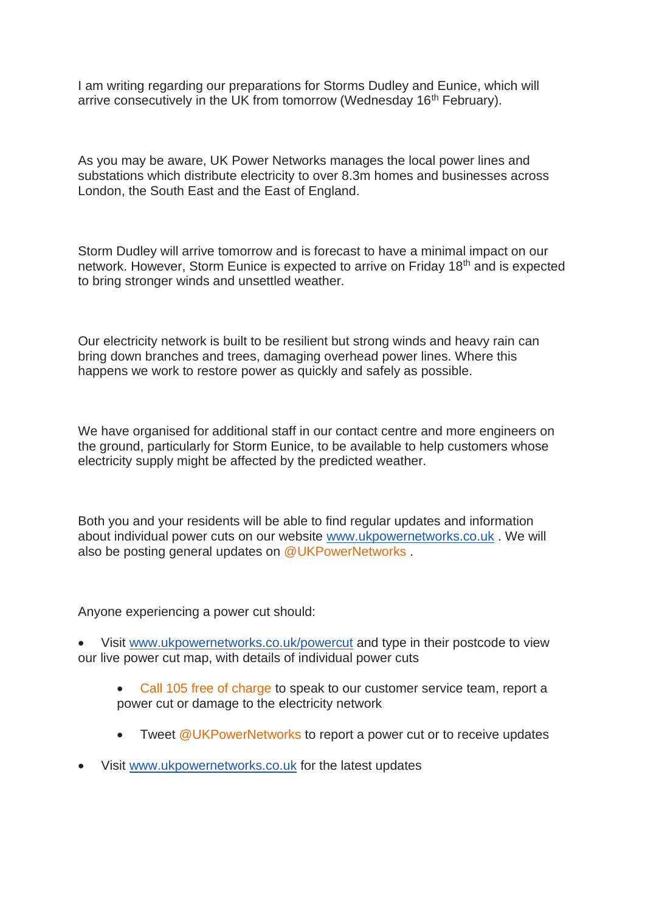I am writing regarding our preparations for Storms Dudley and Eunice, which will arrive consecutively in the UK from tomorrow (Wednesday 16<sup>th</sup> February).

As you may be aware, UK Power Networks manages the local power lines and substations which distribute electricity to over 8.3m homes and businesses across London, the South East and the East of England.

Storm Dudley will arrive tomorrow and is forecast to have a minimal impact on our network. However, Storm Eunice is expected to arrive on Friday 18th and is expected to bring stronger winds and unsettled weather.

Our electricity network is built to be resilient but strong winds and heavy rain can bring down branches and trees, damaging overhead power lines. Where this happens we work to restore power as quickly and safely as possible.

We have organised for additional staff in our contact centre and more engineers on the ground, particularly for Storm Eunice, to be available to help customers whose electricity supply might be affected by the predicted weather.

Both you and your residents will be able to find regular updates and information about individual power cuts on our website [www.ukpowernetworks.co.uk](http://www.ukpowernetworks.co.uk/). We will also be posting general updates on @UKPowerNetworks.

Anyone experiencing a power cut should:

• Visit [www.ukpowernetworks.co.uk/powercut](http://www.ukpowernetworks.co.uk/powercut) and type in their postcode to view our live power cut map, with details of individual power cuts

- Call 105 free of charge to speak to our customer service team, report a power cut or damage to the electricity network
- Tweet @UKPowerNetworks to report a power cut or to receive updates
- Visit [www.ukpowernetworks.co.uk](http://www.ukpowernetworks.co.uk/) for the latest updates